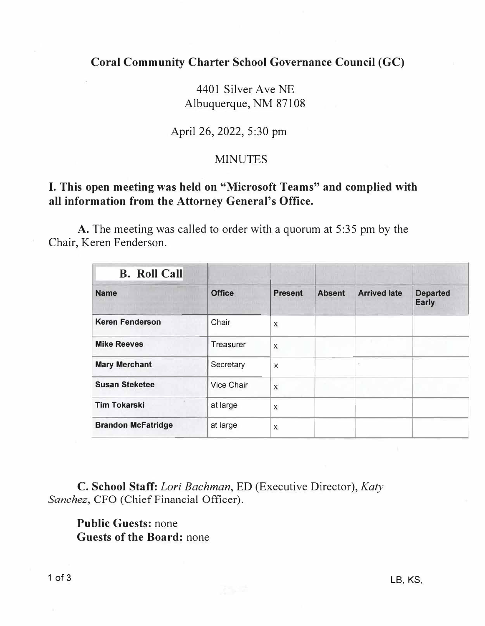**Coral Community Charter School Governance Council (GC)** 

4401 Silver Ave NE Albuquerque, NM 87108

April 26, 2022, 5:30 pm

#### **MINUTES**

### **I. This open meeting was held on "Microsoft Teams" and complied with all information from the Attorney General's Office.**

A. The meeting was called to order with a quorum at 5:35 pm by the Chair, Keren Fenderson.

| <b>B.</b> Roll Call<br><b>Name</b> | <b>Office</b> | <b>Present</b>            | <b>Absent</b> | <b>Arrived late</b> | <b>Departed</b><br><b>Early</b> |
|------------------------------------|---------------|---------------------------|---------------|---------------------|---------------------------------|
|                                    |               |                           |               |                     |                                 |
| <b>Mike Reeves</b>                 | Treasurer     | $\boldsymbol{\mathsf{X}}$ |               |                     |                                 |
| <b>Mary Merchant</b>               | Secretary     | X                         |               |                     |                                 |
| <b>Susan Steketee</b>              | Vice Chair    | $\mathbf x$               |               |                     |                                 |
| <b>Tim Tokarski</b>                | at large      | $\mathbf x$               |               |                     |                                 |
| <b>Brandon McFatridge</b>          | at large      | X                         |               |                     |                                 |

**C. School Staff:** *Lori Bachman,* ED (Executive Director), *Katy* Sanchez, CFO (Chief Financial Officer).

**Public Guests:** none **Guests of the Board:** none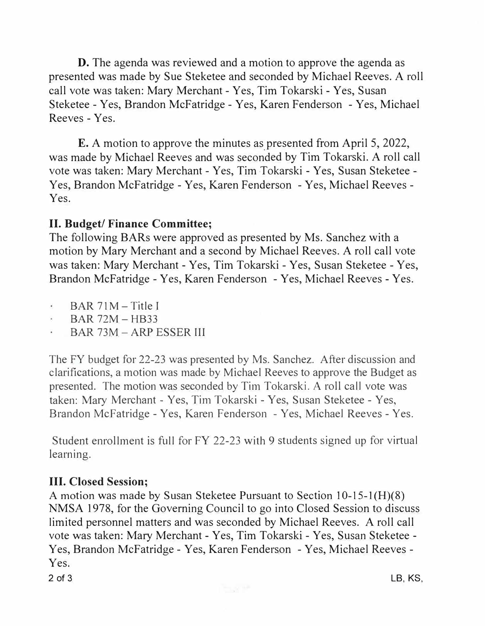D. The agenda was reviewed and a motion to approve the agenda as presented was made by Sue Steketee and seconded by Michael Reeves. A roll call vote was taken: Mary Merchant - Yes, Tim Tokarski - Yes, Susan Steketee - Yes, Brandon McFatridge - Yes, Karen Fenderson - Yes, Michael Reeves - Yes.

E. A motion to approve the minutes as presented from April 5, 2022, was made by Michael Reeves and was seconded by Tim Tokarski. A roll call vote was taken: Mary Merchant - Yes, Tim Tokarski - Yes, Susan Steketee - Yes, Brandon Mcfatridge - Yes, Karen Fenderson - Yes, Michael Reeves - Yes.

# **II. Budget/ Finance Committee;**

The following BARs were approved as presented by Ms. Sanchez with a motion by Mary Merchant and a second by Michael Reeves. A roll call vote was taken: Mary Merchant - Yes, Tim Tokarski - Yes, Susan Steketee - Yes, Brandon McFatridge - Yes, Karen Fenderson - Yes, Michael Reeves - Yes.

- $\epsilon$  $BAR 71M - Title I$
- BAR 72M- HB33
- BAR 73M ARP ESSER Ill

The FY budget for 22-23 was presented by Ms. Sanchez. After discussion and clarifications, a motion was made by Michael Reeves to approve the Budget as presented. The motion was seconded by Tim Tokarski. A roll call vote was taken: Mary Merchant - Yes, Tim Tokarski - Yes, Susan Steketee - Yes, Brandon Mcfatridge - Yes, Karen Fenderson - Yes, Michael Reeves - Yes.

Student enrollment is full for FY 22-23 with 9 students signed up for virtual learning.

# **III. Closed Session;**

A motion was made by Susan Steketee Pursuant to Section 10-15-1 (H)(8) NMSA 1978, for the Governing Council to go into Closed Session to discuss limited personnel matters and was seconded by Michael Reeves. A roll call vote was taken: Mary Merchant - Yes, Tim Tokarski - Yes, Susan Steketee - Yes, Brandon Mcfatridge - Yes, Karen Fenderson - Yes, Michael Reeves - Yes.